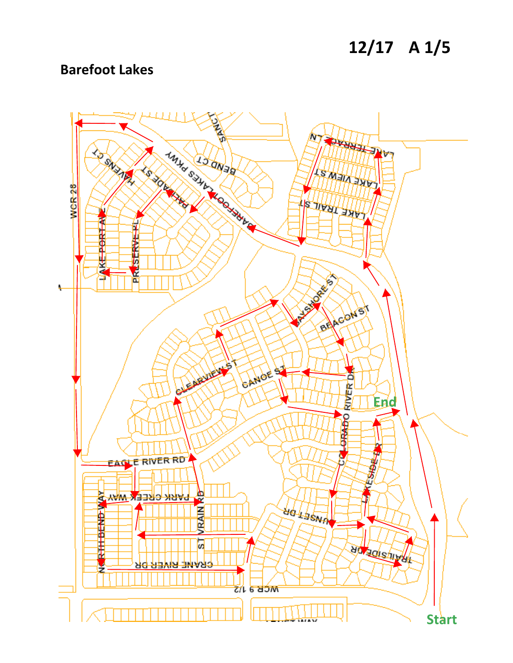### **12/17 A 1/5**

#### **Barefoot Lakes**

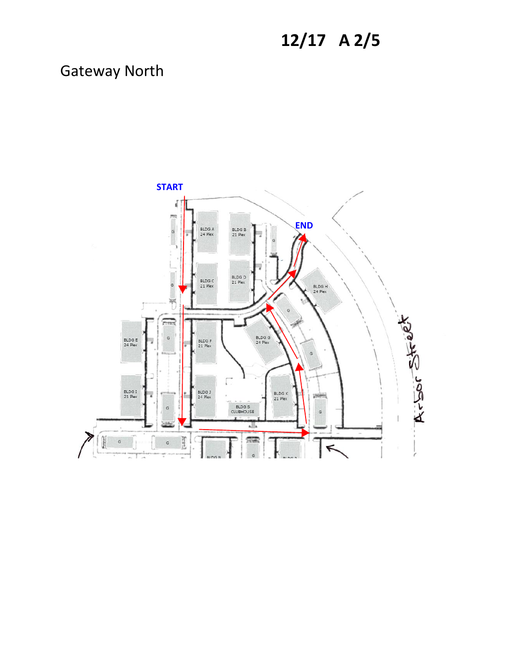# **12/17 A 2/5**

#### Gateway North

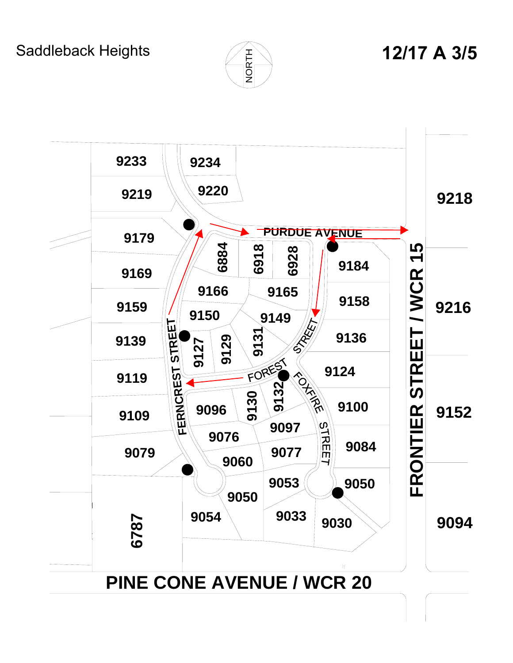Saddleback Heights



# **12/17 A 3/5**

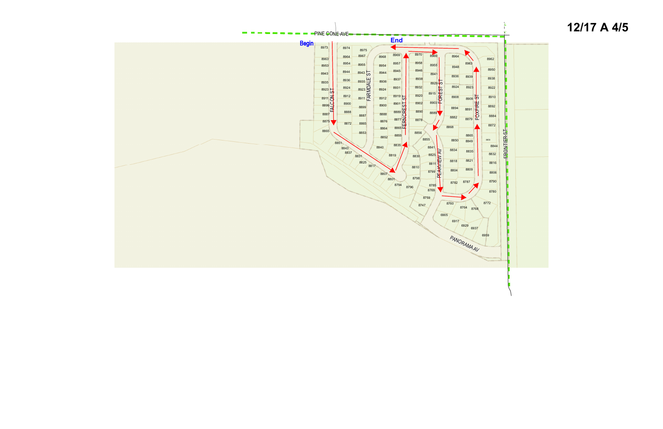# **12/17 <sup>A</sup> <sup>4</sup>/<sup>5</sup>**